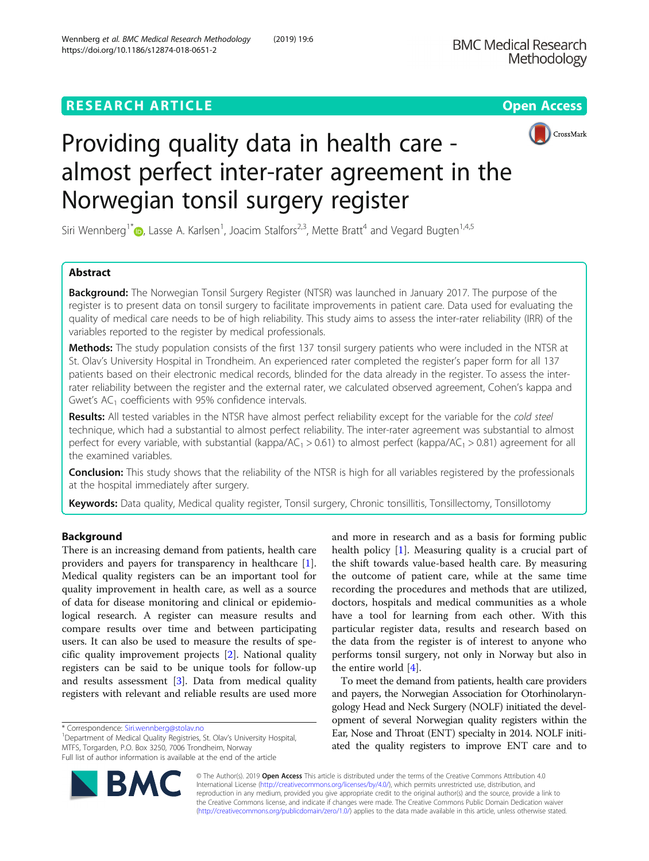# **RESEARCH ARTICLE Example 2018 12:30 THE Open Access**





# Providing quality data in health care almost perfect inter-rater agreement in the Norwegian tonsil surgery register

Siri Wennberg<sup>1\*</sup> D[,](http://orcid.org/0000-0003-1634-584X) Lasse A. Karlsen<sup>1</sup>, Joacim Stalfors<sup>2,3</sup>, Mette Bratt<sup>4</sup> and Vegard Bugten<sup>1,4,5</sup>

# Abstract

**Background:** The Norwegian Tonsil Surgery Register (NTSR) was launched in January 2017. The purpose of the register is to present data on tonsil surgery to facilitate improvements in patient care. Data used for evaluating the quality of medical care needs to be of high reliability. This study aims to assess the inter-rater reliability (IRR) of the variables reported to the register by medical professionals.

Methods: The study population consists of the first 137 tonsil surgery patients who were included in the NTSR at St. Olav's University Hospital in Trondheim. An experienced rater completed the register's paper form for all 137 patients based on their electronic medical records, blinded for the data already in the register. To assess the interrater reliability between the register and the external rater, we calculated observed agreement, Cohen's kappa and Gwet's  $AC<sub>1</sub>$  coefficients with 95% confidence intervals.

Results: All tested variables in the NTSR have almost perfect reliability except for the variable for the cold steel technique, which had a substantial to almost perfect reliability. The inter-rater agreement was substantial to almost perfect for every variable, with substantial (kappa/AC<sub>1</sub> > 0.61) to almost perfect (kappa/AC<sub>1</sub> > 0.81) agreement for all the examined variables.

**Conclusion:** This study shows that the reliability of the NTSR is high for all variables registered by the professionals at the hospital immediately after surgery.

Keywords: Data quality, Medical quality register, Tonsil surgery, Chronic tonsillitis, Tonsillectomy, Tonsillotomy

# Background

There is an increasing demand from patients, health care providers and payers for transparency in healthcare [\[1](#page-7-0)]. Medical quality registers can be an important tool for quality improvement in health care, as well as a source of data for disease monitoring and clinical or epidemiological research. A register can measure results and compare results over time and between participating users. It can also be used to measure the results of specific quality improvement projects [[2\]](#page-7-0). National quality registers can be said to be unique tools for follow-up and results assessment [[3\]](#page-7-0). Data from medical quality registers with relevant and reliable results are used more

<sup>1</sup>Department of Medical Quality Registries, St. Olav's University Hospital, MTFS, Torgarden, P.O. Box 3250, 7006 Trondheim, Norway Full list of author information is available at the end of the article



To meet the demand from patients, health care providers and payers, the Norwegian Association for Otorhinolaryngology Head and Neck Surgery (NOLF) initiated the development of several Norwegian quality registers within the Ear, Nose and Throat (ENT) specialty in 2014. NOLF initiated the quality registers to improve ENT care and to



© The Author(s). 2019 Open Access This article is distributed under the terms of the Creative Commons Attribution 4.0 International License [\(http://creativecommons.org/licenses/by/4.0/](http://creativecommons.org/licenses/by/4.0/)), which permits unrestricted use, distribution, and reproduction in any medium, provided you give appropriate credit to the original author(s) and the source, provide a link to the Creative Commons license, and indicate if changes were made. The Creative Commons Public Domain Dedication waiver [\(http://creativecommons.org/publicdomain/zero/1.0/](http://creativecommons.org/publicdomain/zero/1.0/)) applies to the data made available in this article, unless otherwise stated.

<sup>\*</sup> Correspondence: [Siri.wennberg@stolav.no](mailto:Siri.wennberg@stolav.no) <sup>1</sup>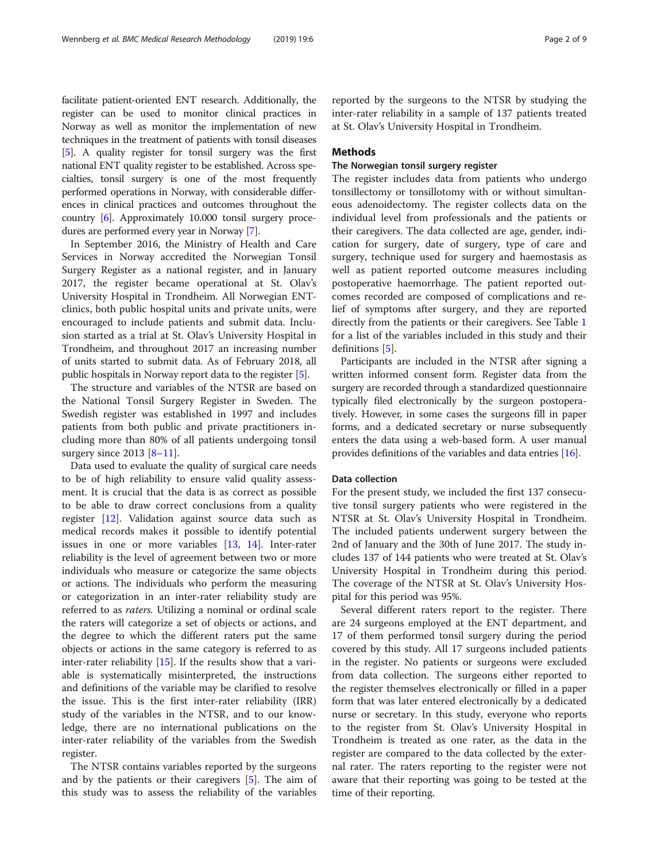facilitate patient-oriented ENT research. Additionally, the register can be used to monitor clinical practices in Norway as well as monitor the implementation of new techniques in the treatment of patients with tonsil diseases [[5](#page-7-0)]. A quality register for tonsil surgery was the first national ENT quality register to be established. Across specialties, tonsil surgery is one of the most frequently performed operations in Norway, with considerable differences in clinical practices and outcomes throughout the country [\[6\]](#page-7-0). Approximately 10.000 tonsil surgery procedures are performed every year in Norway [\[7\]](#page-7-0).

In September 2016, the Ministry of Health and Care Services in Norway accredited the Norwegian Tonsil Surgery Register as a national register, and in January 2017, the register became operational at St. Olav's University Hospital in Trondheim. All Norwegian ENTclinics, both public hospital units and private units, were encouraged to include patients and submit data. Inclusion started as a trial at St. Olav's University Hospital in Trondheim, and throughout 2017 an increasing number of units started to submit data. As of February 2018, all public hospitals in Norway report data to the register [\[5](#page-7-0)].

The structure and variables of the NTSR are based on the National Tonsil Surgery Register in Sweden. The Swedish register was established in 1997 and includes patients from both public and private practitioners including more than 80% of all patients undergoing tonsil surgery since  $2013$  [[8](#page-7-0)–[11](#page-7-0)].

Data used to evaluate the quality of surgical care needs to be of high reliability to ensure valid quality assessment. It is crucial that the data is as correct as possible to be able to draw correct conclusions from a quality register [[12](#page-8-0)]. Validation against source data such as medical records makes it possible to identify potential issues in one or more variables [[13](#page-8-0), [14](#page-8-0)]. Inter-rater reliability is the level of agreement between two or more individuals who measure or categorize the same objects or actions. The individuals who perform the measuring or categorization in an inter-rater reliability study are referred to as raters. Utilizing a nominal or ordinal scale the raters will categorize a set of objects or actions, and the degree to which the different raters put the same objects or actions in the same category is referred to as inter-rater reliability  $[15]$  $[15]$ . If the results show that a variable is systematically misinterpreted, the instructions and definitions of the variable may be clarified to resolve the issue. This is the first inter-rater reliability (IRR) study of the variables in the NTSR, and to our knowledge, there are no international publications on the inter-rater reliability of the variables from the Swedish register.

The NTSR contains variables reported by the surgeons and by the patients or their caregivers [\[5](#page-7-0)]. The aim of this study was to assess the reliability of the variables reported by the surgeons to the NTSR by studying the

inter-rater reliability in a sample of 137 patients treated

at St. Olav's University Hospital in Trondheim.

#### **Methods**

## The Norwegian tonsil surgery register

The register includes data from patients who undergo tonsillectomy or tonsillotomy with or without simultaneous adenoidectomy. The register collects data on the individual level from professionals and the patients or their caregivers. The data collected are age, gender, indication for surgery, date of surgery, type of care and surgery, technique used for surgery and haemostasis as well as patient reported outcome measures including postoperative haemorrhage. The patient reported outcomes recorded are composed of complications and relief of symptoms after surgery, and they are reported directly from the patients or their caregivers. See Table [1](#page-2-0) for a list of the variables included in this study and their definitions [[5\]](#page-7-0).

Participants are included in the NTSR after signing a written informed consent form. Register data from the surgery are recorded through a standardized questionnaire typically filed electronically by the surgeon postoperatively. However, in some cases the surgeons fill in paper forms, and a dedicated secretary or nurse subsequently enters the data using a web-based form. A user manual provides definitions of the variables and data entries [\[16\]](#page-8-0).

#### Data collection

For the present study, we included the first 137 consecutive tonsil surgery patients who were registered in the NTSR at St. Olav's University Hospital in Trondheim. The included patients underwent surgery between the 2nd of January and the 30th of June 2017. The study includes 137 of 144 patients who were treated at St. Olav's University Hospital in Trondheim during this period. The coverage of the NTSR at St. Olav's University Hospital for this period was 95%.

Several different raters report to the register. There are 24 surgeons employed at the ENT department, and 17 of them performed tonsil surgery during the period covered by this study. All 17 surgeons included patients in the register. No patients or surgeons were excluded from data collection. The surgeons either reported to the register themselves electronically or filled in a paper form that was later entered electronically by a dedicated nurse or secretary. In this study, everyone who reports to the register from St. Olav's University Hospital in Trondheim is treated as one rater, as the data in the register are compared to the data collected by the external rater. The raters reporting to the register were not aware that their reporting was going to be tested at the time of their reporting.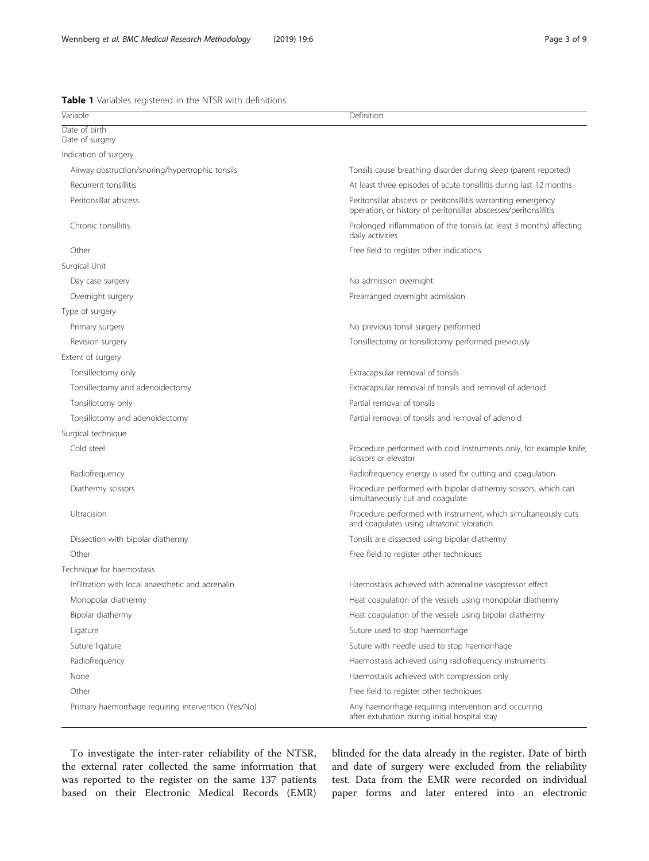<span id="page-2-0"></span>Table 1 Variables registered in the NTSR with definitions

| Variable                                            | Definition                                                                                                                        |
|-----------------------------------------------------|-----------------------------------------------------------------------------------------------------------------------------------|
| Date of birth<br>Date of surgery                    |                                                                                                                                   |
| Indication of surgery                               |                                                                                                                                   |
| Airway obstruction/snoring/hypertrophic tonsils     | Tonsils cause breathing disorder during sleep (parent reported)                                                                   |
| Recurrent tonsillitis                               | At least three episodes of acute tonsillitis during last 12 months                                                                |
| Peritonsillar abscess                               | Peritonsillar abscess or peritonsillitis warranting emergency<br>operation, or history of peritonsillar abscesses/peritonsillitis |
| Chronic tonsillitis                                 | Prolonged inflammation of the tonsils (at least 3 months) affecting<br>daily activities                                           |
| Other                                               | Free field to register other indications                                                                                          |
| Surgical Unit                                       |                                                                                                                                   |
| Day case surgery                                    | No admission overnight                                                                                                            |
| Overnight surgery                                   | Prearranged overnight admission                                                                                                   |
| Type of surgery                                     |                                                                                                                                   |
| Primary surgery                                     | No previous tonsil surgery performed                                                                                              |
| Revision surgery                                    | Tonsillectomy or tonsillotomy performed previously                                                                                |
| Extent of surgery                                   |                                                                                                                                   |
| Tonsillectomy only                                  | Extracapsular removal of tonsils                                                                                                  |
| Tonsillectomy and adenoidectomy                     | Extracapsular removal of tonsils and removal of adenoid                                                                           |
| Tonsillotomy only                                   | Partial removal of tonsils                                                                                                        |
| Tonsillotomy and adenoidectomy                      | Partial removal of tonsils and removal of adenoid                                                                                 |
| Surgical technique                                  |                                                                                                                                   |
| Cold steel                                          | Procedure performed with cold instruments only, for example knife,<br>scissors or elevator                                        |
| Radiofrequency                                      | Radiofrequency energy is used for cutting and coagulation                                                                         |
| Diathermy scissors                                  | Procedure performed with bipolar diathermy scissors, which can<br>simultaneously cut and coagulate                                |
| Ultracision                                         | Procedure performed with instrument, which simultaneously cuts<br>and coaqulates using ultrasonic vibration                       |
| Dissection with bipolar diathermy                   | Tonsils are dissected using bipolar diathermy                                                                                     |
| Other                                               | Free field to register other techniques                                                                                           |
| Technique for haemostasis                           |                                                                                                                                   |
| Infiltration with local anaesthetic and adrenalin   | Haemostasis achieved with adrenaline vasopressor effect                                                                           |
| Monopolar diathermy                                 | Heat coagulation of the vessels using monopolar diathermy                                                                         |
| Bipolar diathermy                                   | Heat coagulation of the vessels using bipolar diathermy                                                                           |
| Ligature                                            | Suture used to stop haemorrhage                                                                                                   |
| Suture ligature                                     | Suture with needle used to stop haemorrhage                                                                                       |
| Radiofrequency                                      | Haemostasis achieved using radiofrequency instruments                                                                             |
| None                                                | Haemostasis achieved with compression only                                                                                        |
| Other                                               | Free field to register other techniques                                                                                           |
| Primary haemorrhage requiring intervention (Yes/No) | Any haemorrhage requiring intervention and occurring<br>after extubation during initial hospital stay                             |

To investigate the inter-rater reliability of the NTSR, the external rater collected the same information that was reported to the register on the same 137 patients based on their Electronic Medical Records (EMR) blinded for the data already in the register. Date of birth and date of surgery were excluded from the reliability test. Data from the EMR were recorded on individual paper forms and later entered into an electronic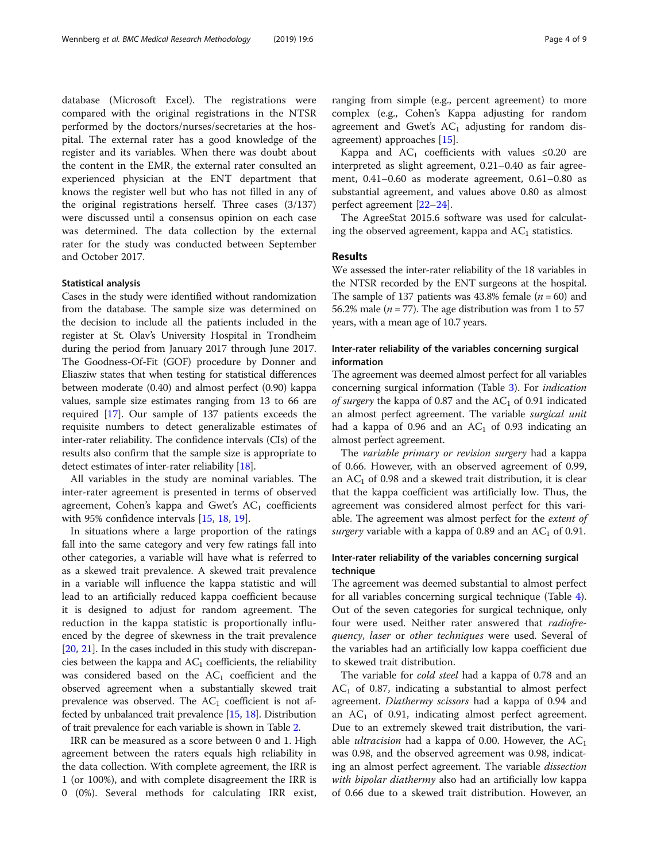database (Microsoft Excel). The registrations were compared with the original registrations in the NTSR performed by the doctors/nurses/secretaries at the hospital. The external rater has a good knowledge of the register and its variables. When there was doubt about the content in the EMR, the external rater consulted an experienced physician at the ENT department that knows the register well but who has not filled in any of the original registrations herself. Three cases (3/137) were discussed until a consensus opinion on each case was determined. The data collection by the external rater for the study was conducted between September and October 2017.

#### Statistical analysis

Cases in the study were identified without randomization from the database. The sample size was determined on the decision to include all the patients included in the register at St. Olav's University Hospital in Trondheim during the period from January 2017 through June 2017. The Goodness-Of-Fit (GOF) procedure by Donner and Eliasziw states that when testing for statistical differences between moderate (0.40) and almost perfect (0.90) kappa values, sample size estimates ranging from 13 to 66 are required [[17](#page-8-0)]. Our sample of 137 patients exceeds the requisite numbers to detect generalizable estimates of inter-rater reliability. The confidence intervals (CIs) of the results also confirm that the sample size is appropriate to detect estimates of inter-rater reliability [\[18\]](#page-8-0).

All variables in the study are nominal variables. The inter-rater agreement is presented in terms of observed agreement, Cohen's kappa and Gwet's  $AC<sub>1</sub>$  coefficients with 95% confidence intervals [\[15,](#page-8-0) [18,](#page-8-0) [19\]](#page-8-0).

In situations where a large proportion of the ratings fall into the same category and very few ratings fall into other categories, a variable will have what is referred to as a skewed trait prevalence. A skewed trait prevalence in a variable will influence the kappa statistic and will lead to an artificially reduced kappa coefficient because it is designed to adjust for random agreement. The reduction in the kappa statistic is proportionally influenced by the degree of skewness in the trait prevalence [[20,](#page-8-0) [21\]](#page-8-0). In the cases included in this study with discrepancies between the kappa and  $AC_1$  coefficients, the reliability was considered based on the  $AC<sub>1</sub>$  coefficient and the observed agreement when a substantially skewed trait prevalence was observed. The  $AC<sub>1</sub>$  coefficient is not affected by unbalanced trait prevalence [[15](#page-8-0), [18\]](#page-8-0). Distribution of trait prevalence for each variable is shown in Table [2.](#page-4-0)

IRR can be measured as a score between 0 and 1. High agreement between the raters equals high reliability in the data collection. With complete agreement, the IRR is 1 (or 100%), and with complete disagreement the IRR is 0 (0%). Several methods for calculating IRR exist,

ranging from simple (e.g., percent agreement) to more complex (e.g., Cohen's Kappa adjusting for random agreement and Gwet's  $AC<sub>1</sub>$  adjusting for random disagreement) approaches [[15](#page-8-0)].

Kappa and  $AC_1$  coefficients with values ≤0.20 are interpreted as slight agreement, 0.21–0.40 as fair agreement, 0.41–0.60 as moderate agreement, 0.61–0.80 as substantial agreement, and values above 0.80 as almost perfect agreement [[22](#page-8-0)–[24](#page-8-0)].

The AgreeStat 2015.6 software was used for calculating the observed agreement, kappa and  $AC<sub>1</sub>$  statistics.

### Results

We assessed the inter-rater reliability of the 18 variables in the NTSR recorded by the ENT surgeons at the hospital. The sample of 137 patients was 43.8% female ( $n = 60$ ) and 56.2% male ( $n = 77$ ). The age distribution was from 1 to 57 years, with a mean age of 10.7 years.

# Inter-rater reliability of the variables concerning surgical information

The agreement was deemed almost perfect for all variables concerning surgical information (Table [3\)](#page-4-0). For indication of surgery the kappa of 0.87 and the  $AC<sub>1</sub>$  of 0.91 indicated an almost perfect agreement. The variable surgical unit had a kappa of 0.96 and an  $AC<sub>1</sub>$  of 0.93 indicating an almost perfect agreement.

The variable primary or revision surgery had a kappa of 0.66. However, with an observed agreement of 0.99, an  $AC_1$  of 0.98 and a skewed trait distribution, it is clear that the kappa coefficient was artificially low. Thus, the agreement was considered almost perfect for this variable. The agreement was almost perfect for the extent of surgery variable with a kappa of 0.89 and an  $AC<sub>1</sub>$  of 0.91.

# Inter-rater reliability of the variables concerning surgical technique

The agreement was deemed substantial to almost perfect for all variables concerning surgical technique (Table [4](#page-5-0)). Out of the seven categories for surgical technique, only four were used. Neither rater answered that radiofrequency, laser or other techniques were used. Several of the variables had an artificially low kappa coefficient due to skewed trait distribution.

The variable for *cold steel* had a kappa of 0.78 and an  $AC<sub>1</sub>$  of 0.87, indicating a substantial to almost perfect agreement. Diathermy scissors had a kappa of 0.94 and an  $AC_1$  of 0.91, indicating almost perfect agreement. Due to an extremely skewed trait distribution, the variable *ultracision* had a kappa of 0.00. However, the  $AC<sub>1</sub>$ was 0.98, and the observed agreement was 0.98, indicating an almost perfect agreement. The variable dissection with bipolar diathermy also had an artificially low kappa of 0.66 due to a skewed trait distribution. However, an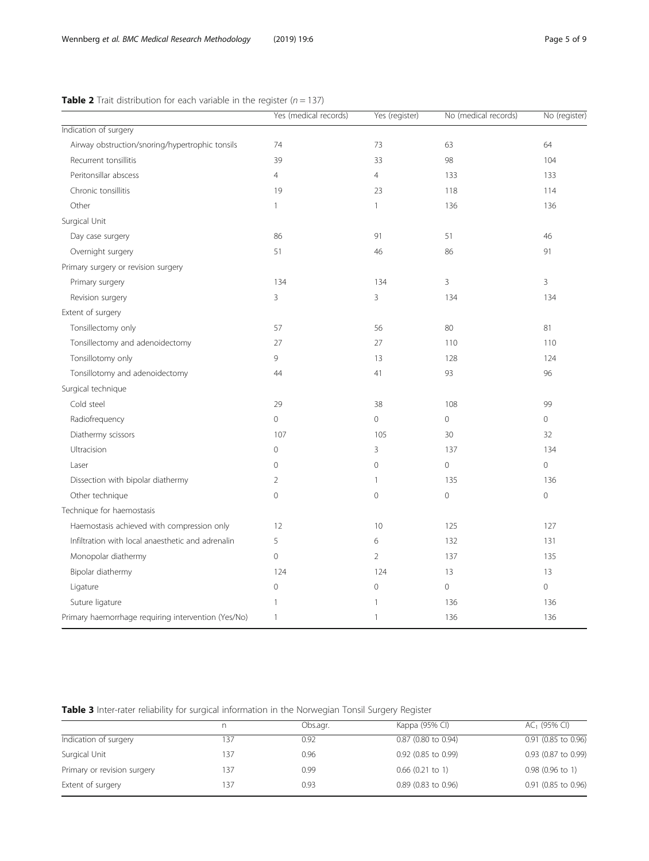|                                                     | Yes (medical records) | Yes (register) | No (medical records) | No (register)  |
|-----------------------------------------------------|-----------------------|----------------|----------------------|----------------|
| Indication of surgery                               |                       |                |                      |                |
| Airway obstruction/snoring/hypertrophic tonsils     | 74                    | 73             | 63                   | 64             |
| Recurrent tonsillitis                               | 39                    | 33             | 98                   | 104            |
| Peritonsillar abscess                               | 4                     | $\overline{4}$ | 133                  | 133            |
| Chronic tonsillitis                                 | 19                    | 23             | 118                  | 114            |
| Other                                               | $\mathbf{1}$          | $\mathbf{1}$   | 136                  | 136            |
| Surgical Unit                                       |                       |                |                      |                |
| Day case surgery                                    | 86                    | 91             | 51                   | 46             |
| Overnight surgery                                   | 51                    | 46             | 86                   | 91             |
| Primary surgery or revision surgery                 |                       |                |                      |                |
| Primary surgery                                     | 134                   | 134            | 3                    | $\overline{3}$ |
| Revision surgery                                    | 3                     | 3              | 134                  | 134            |
| Extent of surgery                                   |                       |                |                      |                |
| Tonsillectomy only                                  | 57                    | 56             | 80                   | 81             |
| Tonsillectomy and adenoidectomy                     | 27                    | 27             | 110                  | 110            |
| Tonsillotomy only                                   | 9                     | 13             | 128                  | 124            |
| Tonsillotomy and adenoidectomy                      | 44                    | 41             | 93                   | 96             |
| Surgical technique                                  |                       |                |                      |                |
| Cold steel                                          | 29                    | 38             | 108                  | 99             |
| Radiofrequency                                      | $\Omega$              | $\Omega$       | $\circ$              | $\overline{0}$ |
| Diathermy scissors                                  | 107                   | 105            | 30                   | 32             |
| Ultracision                                         | 0                     | 3              | 137                  | 134            |
| Laser                                               | $\Omega$              | $\overline{0}$ | $\mathbf{0}$         | $\circ$        |
| Dissection with bipolar diathermy                   | 2                     | 1              | 135                  | 136            |
| Other technique                                     | $\overline{0}$        | $\overline{0}$ | $\circledcirc$       | $\circledcirc$ |
| Technique for haemostasis                           |                       |                |                      |                |
| Haemostasis achieved with compression only          | 12                    | 10             | 125                  | 127            |
| Infiltration with local anaesthetic and adrenalin   | 5                     | 6              | 132                  | 131            |
| Monopolar diathermy                                 | $\overline{0}$        | $\overline{2}$ | 137                  | 135            |
| Bipolar diathermy                                   | 124                   | 124            | 13                   | 13             |
| Ligature                                            | $\overline{0}$        | $\overline{0}$ | $\Omega$             | $\mathbf{O}$   |
| Suture ligature                                     | 1                     |                | 136                  | 136            |
| Primary haemorrhage requiring intervention (Yes/No) | $\mathbf{1}$          | 1              | 136                  | 136            |

<span id="page-4-0"></span>**Table 2** Trait distribution for each variable in the register  $(n = 137)$ 

Table 3 Inter-rater reliability for surgical information in the Norwegian Tonsil Surgery Register

|     | Obs.agr. | Kappa (95% CI)        | $AC1$ (95% CI)      |
|-----|----------|-----------------------|---------------------|
| 137 | 0.92     | 0.87 (0.80 to 0.94)   | 0.91 (0.85 to 0.96) |
| 137 | 0.96     | 0.92 (0.85 to 0.99)   | 0.93 (0.87 to 0.99) |
| 137 | 0.99     | $0.66$ (0.21 to 1)    | $0.98$ (0.96 to 1)  |
| 137 | 0.93     | $0.89$ (0.83 to 0.96) | 0.91 (0.85 to 0.96) |
|     |          |                       |                     |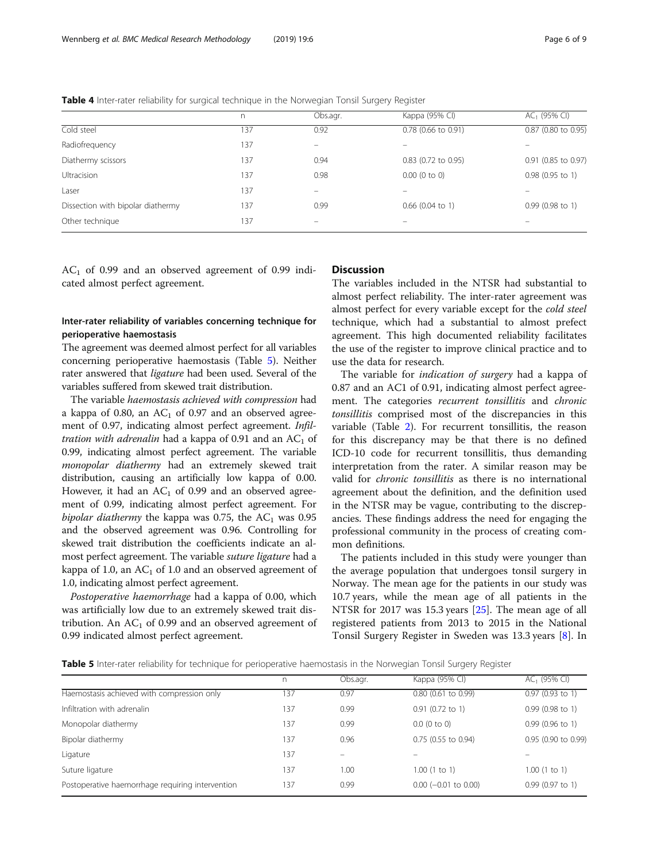<span id="page-5-0"></span>Table 4 Inter-rater reliability for surgical technique in the Norwegian Tonsil Surgery Register

|                                   | n.  | Obs.agr.                 | Kappa (95% CI)        | $AC1$ (95% CI)           |
|-----------------------------------|-----|--------------------------|-----------------------|--------------------------|
| Cold steel                        | 137 | 0.92                     | 0.78 (0.66 to 0.91)   | 0.87 (0.80 to 0.95)      |
| Radiofrequency                    | 137 | $\overline{\phantom{0}}$ |                       |                          |
| Diathermy scissors                | 137 | 0.94                     | $0.83$ (0.72 to 0.95) | 0.91 (0.85 to 0.97)      |
| <b>Ultracision</b>                | 137 | 0.98                     | $0.00$ (0 to 0)       | $0.98$ (0.95 to 1)       |
| Laser                             | 137 | $\overline{\phantom{0}}$ |                       | $\overline{\phantom{0}}$ |
| Dissection with bipolar diathermy | 137 | 0.99                     | $0.66$ (0.04 to 1)    | $0.99$ (0.98 to 1)       |
| Other technique                   | 137 | -                        |                       |                          |

 $AC<sub>1</sub>$  of 0.99 and an observed agreement of 0.99 indicated almost perfect agreement.

# Inter-rater reliability of variables concerning technique for perioperative haemostasis

The agreement was deemed almost perfect for all variables concerning perioperative haemostasis (Table 5). Neither rater answered that ligature had been used. Several of the variables suffered from skewed trait distribution.

The variable haemostasis achieved with compression had a kappa of 0.80, an  $AC<sub>1</sub>$  of 0.97 and an observed agreement of 0.97, indicating almost perfect agreement. Infiltration with adrenalin had a kappa of 0.91 and an  $AC<sub>1</sub>$  of 0.99, indicating almost perfect agreement. The variable monopolar diathermy had an extremely skewed trait distribution, causing an artificially low kappa of 0.00. However, it had an  $AC<sub>1</sub>$  of 0.99 and an observed agreement of 0.99, indicating almost perfect agreement. For bipolar diathermy the kappa was 0.75, the  $AC<sub>1</sub>$  was 0.95 and the observed agreement was 0.96. Controlling for skewed trait distribution the coefficients indicate an almost perfect agreement. The variable suture ligature had a kappa of 1.0, an  $AC<sub>1</sub>$  of 1.0 and an observed agreement of 1.0, indicating almost perfect agreement.

Postoperative haemorrhage had a kappa of 0.00, which was artificially low due to an extremely skewed trait distribution. An  $AC<sub>1</sub>$  of 0.99 and an observed agreement of 0.99 indicated almost perfect agreement.

# **Discussion**

The variables included in the NTSR had substantial to almost perfect reliability. The inter-rater agreement was almost perfect for every variable except for the cold steel technique, which had a substantial to almost prefect agreement. This high documented reliability facilitates the use of the register to improve clinical practice and to use the data for research.

The variable for *indication of surgery* had a kappa of 0.87 and an AC1 of 0.91, indicating almost perfect agreement. The categories recurrent tonsillitis and chronic tonsillitis comprised most of the discrepancies in this variable (Table [2\)](#page-4-0). For recurrent tonsillitis, the reason for this discrepancy may be that there is no defined ICD-10 code for recurrent tonsillitis, thus demanding interpretation from the rater. A similar reason may be valid for chronic tonsillitis as there is no international agreement about the definition, and the definition used in the NTSR may be vague, contributing to the discrepancies. These findings address the need for engaging the professional community in the process of creating common definitions.

The patients included in this study were younger than the average population that undergoes tonsil surgery in Norway. The mean age for the patients in our study was 10.7 years, while the mean age of all patients in the NTSR for 2017 was 15.3 years [[25](#page-8-0)]. The mean age of all registered patients from 2013 to 2015 in the National Tonsil Surgery Register in Sweden was 13.3 years [\[8](#page-7-0)]. In

Table 5 Inter-rater reliability for technique for perioperative haemostasis in the Norwegian Tonsil Surgery Register

|                                                  | n   | Obs.agr. | Kappa (95% CI)               | $AC1$ (95% CI)      |
|--------------------------------------------------|-----|----------|------------------------------|---------------------|
| Haemostasis achieved with compression only       | 137 | 0.97     | 0.80 (0.61 to 0.99)          | 0.97(0.93 to 1)     |
| Infiltration with adrenalin                      | 137 | 0.99     | $0.91$ (0.72 to 1)           | 0.99(0.98 to 1)     |
| Monopolar diathermy                              | 137 | 0.99     | $0.0$ (0 to 0)               | $0.99$ (0.96 to 1)  |
| Bipolar diathermy                                | 137 | 0.96     | 0.75 (0.55 to 0.94)          | 0.95 (0.90 to 0.99) |
| Ligature                                         | 137 |          |                              |                     |
| Suture ligature                                  | 137 | 1.00     | $1.00$ (1 to 1)              | 1.00(1 to 1)        |
| Postoperative haemorrhage requiring intervention | 137 | 0.99     | $0.00$ ( $-0.01$ to $0.00$ ) | $0.99$ (0.97 to 1)  |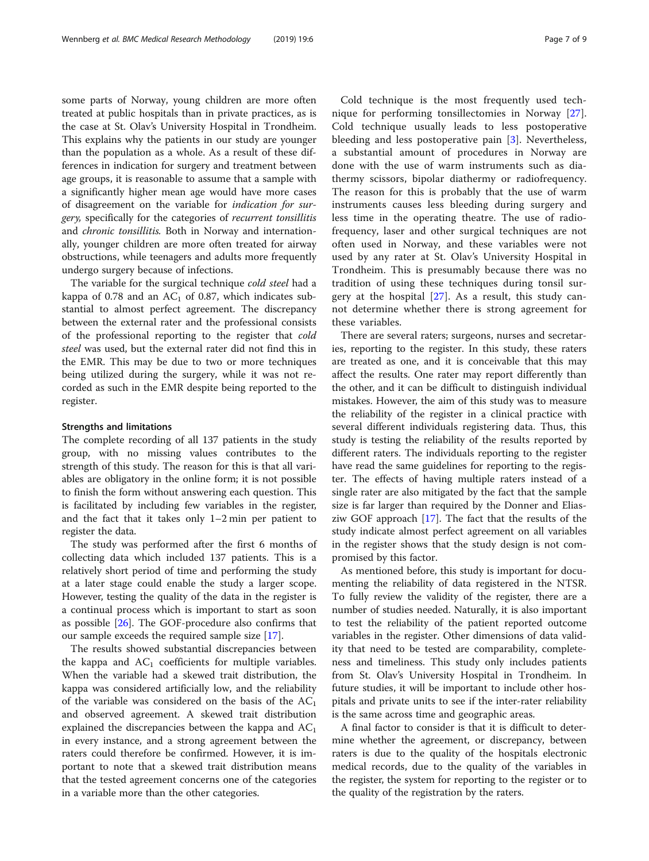some parts of Norway, young children are more often treated at public hospitals than in private practices, as is the case at St. Olav's University Hospital in Trondheim. This explains why the patients in our study are younger than the population as a whole. As a result of these differences in indication for surgery and treatment between age groups, it is reasonable to assume that a sample with a significantly higher mean age would have more cases of disagreement on the variable for indication for surgery, specifically for the categories of recurrent tonsillitis and chronic tonsillitis. Both in Norway and internationally, younger children are more often treated for airway obstructions, while teenagers and adults more frequently undergo surgery because of infections.

The variable for the surgical technique *cold steel* had a kappa of 0.78 and an  $AC<sub>1</sub>$  of 0.87, which indicates substantial to almost perfect agreement. The discrepancy between the external rater and the professional consists of the professional reporting to the register that cold steel was used, but the external rater did not find this in the EMR. This may be due to two or more techniques being utilized during the surgery, while it was not recorded as such in the EMR despite being reported to the register.

#### Strengths and limitations

The complete recording of all 137 patients in the study group, with no missing values contributes to the strength of this study. The reason for this is that all variables are obligatory in the online form; it is not possible to finish the form without answering each question. This is facilitated by including few variables in the register, and the fact that it takes only 1–2 min per patient to register the data.

The study was performed after the first 6 months of collecting data which included 137 patients. This is a relatively short period of time and performing the study at a later stage could enable the study a larger scope. However, testing the quality of the data in the register is a continual process which is important to start as soon as possible  $[26]$  $[26]$ . The GOF-procedure also confirms that our sample exceeds the required sample size [\[17](#page-8-0)].

The results showed substantial discrepancies between the kappa and  $AC_1$  coefficients for multiple variables. When the variable had a skewed trait distribution, the kappa was considered artificially low, and the reliability of the variable was considered on the basis of the  $AC<sub>1</sub>$ and observed agreement. A skewed trait distribution explained the discrepancies between the kappa and  $AC<sub>1</sub>$ in every instance, and a strong agreement between the raters could therefore be confirmed. However, it is important to note that a skewed trait distribution means that the tested agreement concerns one of the categories in a variable more than the other categories.

Cold technique is the most frequently used technique for performing tonsillectomies in Norway [\[27](#page-8-0)]. Cold technique usually leads to less postoperative bleeding and less postoperative pain [\[3](#page-7-0)]. Nevertheless,

a substantial amount of procedures in Norway are done with the use of warm instruments such as diathermy scissors, bipolar diathermy or radiofrequency. The reason for this is probably that the use of warm instruments causes less bleeding during surgery and less time in the operating theatre. The use of radiofrequency, laser and other surgical techniques are not often used in Norway, and these variables were not used by any rater at St. Olav's University Hospital in Trondheim. This is presumably because there was no tradition of using these techniques during tonsil surgery at the hospital [[27](#page-8-0)]. As a result, this study cannot determine whether there is strong agreement for these variables.

There are several raters; surgeons, nurses and secretaries, reporting to the register. In this study, these raters are treated as one, and it is conceivable that this may affect the results. One rater may report differently than the other, and it can be difficult to distinguish individual mistakes. However, the aim of this study was to measure the reliability of the register in a clinical practice with several different individuals registering data. Thus, this study is testing the reliability of the results reported by different raters. The individuals reporting to the register have read the same guidelines for reporting to the register. The effects of having multiple raters instead of a single rater are also mitigated by the fact that the sample size is far larger than required by the Donner and Eliasziw GOF approach [\[17\]](#page-8-0). The fact that the results of the study indicate almost perfect agreement on all variables in the register shows that the study design is not compromised by this factor.

As mentioned before, this study is important for documenting the reliability of data registered in the NTSR. To fully review the validity of the register, there are a number of studies needed. Naturally, it is also important to test the reliability of the patient reported outcome variables in the register. Other dimensions of data validity that need to be tested are comparability, completeness and timeliness. This study only includes patients from St. Olav's University Hospital in Trondheim. In future studies, it will be important to include other hospitals and private units to see if the inter-rater reliability is the same across time and geographic areas.

A final factor to consider is that it is difficult to determine whether the agreement, or discrepancy, between raters is due to the quality of the hospitals electronic medical records, due to the quality of the variables in the register, the system for reporting to the register or to the quality of the registration by the raters.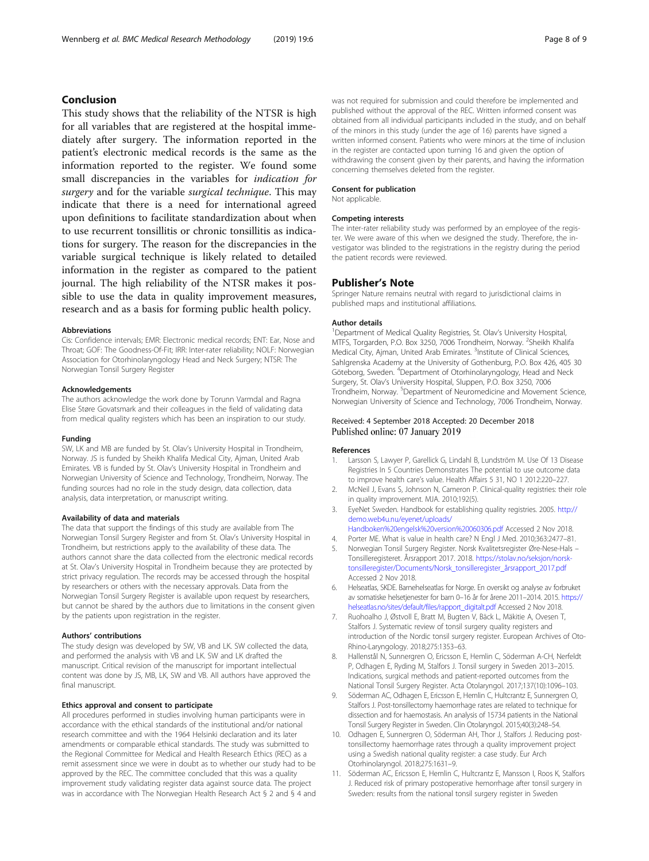## <span id="page-7-0"></span>Conclusion

This study shows that the reliability of the NTSR is high for all variables that are registered at the hospital immediately after surgery. The information reported in the patient's electronic medical records is the same as the information reported to the register. We found some small discrepancies in the variables for indication for surgery and for the variable *surgical technique*. This may indicate that there is a need for international agreed upon definitions to facilitate standardization about when to use recurrent tonsillitis or chronic tonsillitis as indications for surgery. The reason for the discrepancies in the variable surgical technique is likely related to detailed information in the register as compared to the patient journal. The high reliability of the NTSR makes it possible to use the data in quality improvement measures, research and as a basis for forming public health policy.

#### Abbreviations

Cis: Confidence intervals; EMR: Electronic medical records; ENT: Ear, Nose and Throat; GOF: The Goodness-Of-Fit; IRR: Inter-rater reliability; NOLF: Norwegian Association for Otorhinolaryngology Head and Neck Surgery; NTSR: The Norwegian Tonsil Surgery Register

#### Acknowledgements

The authors acknowledge the work done by Torunn Varmdal and Ragna Elise Støre Govatsmark and their colleagues in the field of validating data from medical quality registers which has been an inspiration to our study.

#### Funding

SW, LK and MB are funded by St. Olav's University Hospital in Trondheim, Norway. JS is funded by Sheikh Khalifa Medical City, Ajman, United Arab Emirates. VB is funded by St. Olav's University Hospital in Trondheim and Norwegian University of Science and Technology, Trondheim, Norway. The funding sources had no role in the study design, data collection, data analysis, data interpretation, or manuscript writing.

#### Availability of data and materials

The data that support the findings of this study are available from The Norwegian Tonsil Surgery Register and from St. Olav's University Hospital in Trondheim, but restrictions apply to the availability of these data. The authors cannot share the data collected from the electronic medical records at St. Olav's University Hospital in Trondheim because they are protected by strict privacy regulation. The records may be accessed through the hospital by researchers or others with the necessary approvals. Data from the Norwegian Tonsil Surgery Register is available upon request by researchers, but cannot be shared by the authors due to limitations in the consent given by the patients upon registration in the register.

#### Authors' contributions

The study design was developed by SW, VB and LK. SW collected the data, and performed the analysis with VB and LK. SW and LK drafted the manuscript. Critical revision of the manuscript for important intellectual content was done by JS, MB, LK, SW and VB. All authors have approved the final manuscript.

#### Ethics approval and consent to participate

All procedures performed in studies involving human participants were in accordance with the ethical standards of the institutional and/or national research committee and with the 1964 Helsinki declaration and its later amendments or comparable ethical standards. The study was submitted to the Regional Committee for Medical and Health Research Ethics (REC) as a remit assessment since we were in doubt as to whether our study had to be approved by the REC. The committee concluded that this was a quality improvement study validating register data against source data. The project was in accordance with The Norwegian Health Research Act § 2 and § 4 and was not required for submission and could therefore be implemented and published without the approval of the REC. Written informed consent was obtained from all individual participants included in the study, and on behalf of the minors in this study (under the age of 16) parents have signed a written informed consent. Patients who were minors at the time of inclusion in the register are contacted upon turning 16 and given the option of withdrawing the consent given by their parents, and having the information concerning themselves deleted from the register.

#### Consent for publication

Not applicable.

#### Competing interests

The inter-rater reliability study was performed by an employee of the register. We were aware of this when we designed the study. Therefore, the investigator was blinded to the registrations in the registry during the period the patient records were reviewed.

#### Publisher's Note

Springer Nature remains neutral with regard to jurisdictional claims in published maps and institutional affiliations.

#### Author details

<sup>1</sup> Department of Medical Quality Registries, St. Olav's University Hospital MTFS, Torgarden, P.O. Box 3250, 7006 Trondheim, Norway. <sup>2</sup>Sheikh Khalifa Medical City, Ajman, United Arab Emirates. <sup>3</sup>Institute of Clinical Sciences Sahlgrenska Academy at the University of Gothenburg, P.O. Box 426, 405 30 Göteborg, Sweden. <sup>4</sup>Department of Otorhinolaryngology, Head and Neck Surgery, St. Olav's University Hospital, Sluppen, P.O. Box 3250, 7006 Trondheim, Norway. <sup>5</sup>Department of Neuromedicine and Movement Science Norwegian University of Science and Technology, 7006 Trondheim, Norway.

#### Received: 4 September 2018 Accepted: 20 December 2018 Published online: 07 January 2019

#### References

- 1. Larsson S, Lawyer P, Garellick G, Lindahl B, Lundström M. Use Of 13 Disease Registries In 5 Countries Demonstrates The potential to use outcome data to improve health care's value. Health Affairs 5 31, NO 1 2012:220–227.
- 2. McNeil J, Evans S, Johnson N, Cameron P. Clinical-quality registries: their role in quality improvement. MJA. 2010;192(5).
- 3. EyeNet Sweden. Handbook for establishing quality registries. 2005. [http://](http://demo.web4u.nu/eyenet/uploads/Handboken%20engelsk%20version%20060306.pdf) [demo.web4u.nu/eyenet/uploads/](http://demo.web4u.nu/eyenet/uploads/Handboken%20engelsk%20version%20060306.pdf)
- [Handboken%20engelsk%20version%20060306.pdf](http://demo.web4u.nu/eyenet/uploads/Handboken%20engelsk%20version%20060306.pdf) Accessed 2 Nov 2018. 4. Porter ME. What is value in health care? N Engl J Med. 2010;363:2477–81.
- 5. Norwegian Tonsil Surgery Register. Norsk Kvalitetsregister Øre-Nese-Hals Tonsilleregisteret. Årsrapport 2017. 2018. [https://stolav.no/seksjon/norsk](https://stolav.no/seksjon/norsk-tonsilleregister/Documents/Norsk_tonsilleregister_%C3%A5rsrapport_2017.pdf)[tonsilleregister/Documents/Norsk\\_tonsilleregister\\_årsrapport\\_2017.pdf](https://stolav.no/seksjon/norsk-tonsilleregister/Documents/Norsk_tonsilleregister_%C3%A5rsrapport_2017.pdf) Accessed 2 Nov 2018.
- 6. Helseatlas, SKDE. Barnehelseatlas for Norge. En oversikt og analyse av forbruket av somatiske helsetjenester for barn 0–16 år for årene 2011–2014. 2015. [https://](https://helseatlas.no/sites/default/files/rapport_digitalt.pdf) [helseatlas.no/sites/default/files/rapport\\_digitalt.pdf](https://helseatlas.no/sites/default/files/rapport_digitalt.pdf) Accessed 2 Nov 2018.
- 7. Ruohoalho J, Østvoll E, Bratt M, Bugten V, Bäck L, Mäkitie A, Ovesen T, Stalfors J. Systematic review of tonsil surgery quality registers and introduction of the Nordic tonsil surgery register. European Archives of Oto-Rhino-Laryngology. 2018;275:1353–63.
- 8. Hallenstål N, Sunnergren O, Ericsson E, Hemlin C, Söderman A-CH, Nerfeldt P, Odhagen E, Ryding M, Stalfors J. Tonsil surgery in Sweden 2013–2015. Indications, surgical methods and patient-reported outcomes from the National Tonsil Surgery Register. Acta Otolaryngol. 2017;137(10):1096–103.
- 9. Söderman AC, Odhagen E, Ericsson E, Hemlin C, Hultcrantz E, Sunnergren O, Stalfors J. Post-tonsillectomy haemorrhage rates are related to technique for dissection and for haemostasis. An analysis of 15734 patients in the National Tonsil Surgery Register in Sweden. Clin Otolaryngol. 2015;40(3):248–54.
- 10. Odhagen E, Sunnergren O, Söderman AH, Thor J, Stalfors J. Reducing posttonsillectomy haemorrhage rates through a quality improvement project using a Swedish national quality register: a case study. Eur Arch Otorhinolaryngol. 2018;275:1631–9.
- 11. Söderman AC, Ericsson E, Hemlin C, Hultcrantz E, Mansson I, Roos K, Stalfors J. Reduced risk of primary postoperative hemorrhage after tonsil surgery in Sweden: results from the national tonsil surgery register in Sweden